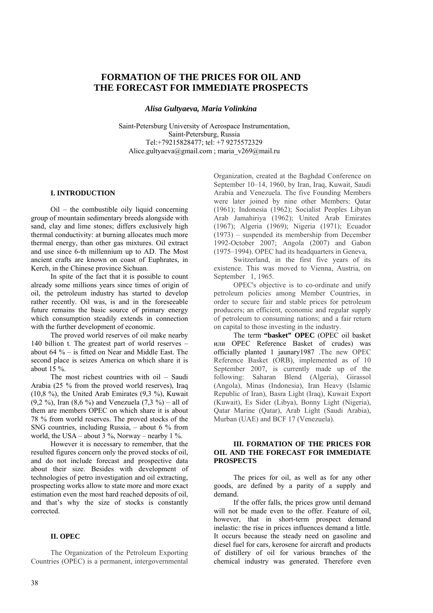# **FORMATION OF THE PRICES FOR OIL AND THE FORECAST FOR IMMEDIATE PROSPECTS**

*Alisa Gultyaeva, Maria Volinkina* 

Saint-Petersburg University of Aerospace Instrumentation, Saint-Petersburg, Russia Tel:+79215828477; tel: +7 9275572329 [Alice.gultyaeva@gmail.com](mailto:Alice.gultyaeva@gmail.com) ; [maria\\_v269@mail.ru](mailto:maria_v269@mail.ru)

## **I. INTRODUCTION**

Oil – the combustible oily liquid concerning group of mountain sedimentary breeds alongside with sand, clay and lime stones; differs exclusively high thermal conductivity: at burning allocates much more thermal energy, than other gas mixtures. Oil extract and use since 6-th millennium up to AD. The Most ancient crafts are known on coast of Euphrates, in Kerch, in the Chinese province Sichuan.

In spite of the fact that it is possible to count already some millions years since times of origin of oil, the petroleum industry has started to develop rather recently. Oil was, is and in the foreseeable future remains the basic source of primary energy which consumption steadily extends in connection with the further development of economic.

The proved world reserves of oil make nearby 140 billion t. The greatest part of world reserves – about 64 % – is fitted on Near and Middle East. The second place is seizes America on which share it is about 15 %.

The most richest countries with oil – Saudi Arabia (25 % from the proved world reserves), Iraq (10,8 %), the United Arab Emirates (9,3 %), Kuwait (9,2 %), Iran (8,6 %) and Venezuela (7,3 %) – all of them are members OPEC on which share it is about 78 % from world reserves. The proved stocks of the SNG countries, including Russia,  $-$  about 6  $\%$  from world, the USA – about  $3\%$ , Norway – nearby 1%.

However it is necessary to remember, that the resulted figures concern only the proved stocks of oil, and do not include forecast and prospective data about their size. Besides with development of technologies of petro investigation and oil extracting, prospecting works allow to state more and more exact estimation even the most hard reached deposits of oil, and that's why the size of stocks is constantly corrected.

#### **II. OPEC**

The Organization of the Petroleum Exporting Countries (OPEC) is a permanent, intergovernmental Organization, created at the Baghdad Conference on September 10–14, 1960, by Iran, Iraq, Kuwait, Saudi Arabia and Venezuela. The five Founding Members were later joined by nine other Members: Qatar (1961); Indonesia (1962); Socialist Peoples Libyan Arab Jamahiriya (1962); United Arab Emirates (1967); Algeria (1969); Nigeria (1971); Ecuador (1973) – suspended its membership from December 1992-October 2007; Angola (2007) and Gabon (1975–1994). OPEC had its headquarters in Geneva,

Switzerland, in the first five years of its existence. This was moved to Vienna, Austria, on September 1, 1965.

OPEC's objective is to co-ordinate and unify petroleum policies among Member Countries, in order to secure fair and stable prices for petroleum producers; an efficient, economic and regular supply of petroleum to consuming nations; and a fair return on capital to those investing in the industry.

The term **"basket" OPEC** (OPEC oil basket или OPEC Reference Basket of crudes) was officially planted 1 jaunary1987 .The new OPEC Reference Basket (ORB), implemented as of 10 September 2007, is currently made up of the following: Saharan Blend (Algeria), Girassol (Angola), Minas (Indonesia), Iran Heavy (Islamic Republic of Iran), Basra Light (Iraq), Kuwait Export (Kuwait), Es Sider (Libya), Bonny Light (Nigeria), Qatar Marine (Qatar), Arab Light (Saudi Arabia), Murban (UAE) and BCF 17 (Venezuela).

# **III. FORMATION OF THE PRICES FOR OIL AND THE FORECAST FOR IMMEDIATE PROSPECTS**

The prices for oil, as well as for any other goods, are defined by a parity of a supply and demand.

If the offer falls, the prices grow until demand will not be made even to the offer. Feature of oil, however, that in short-term prospect demand inelastic: the rise in prices influences demand a little. It occurs because the steady need on gasoline and diesel fuel for cars, kerosene for aircraft and products of distillery of oil for various branches of the chemical industry was generated. Therefore even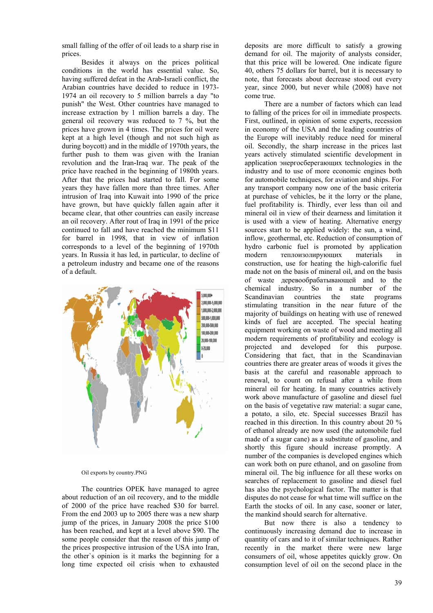small falling of the offer of oil leads to a sharp rise in prices.

Besides it always on the prices political conditions in the world has essential value. So, having suffered defeat in the Arab**-**Israeli conflict, the Arabian countries have decided to reduce in 1973- 1974 an oil recovery to 5 million barrels a day "to punish" the West. Other countries have managed to increase extraction by 1 million barrels a day. The general oil recovery was reduced to 7 %, but the prices have grown in 4 times. The prices for oil were kept at a high level (though and not such high as during boycott) and in the middle of 1970th years, the further push to them was given with the Iranian revolution and the Iran**-**Iraq war. The peak of the price have reached in the beginning of 1980th years. After that the prices had started to fall. For some years they have fallen more than three times. After intrusion of Iraq into Kuwait into 1990 of the price have grown, but have quickly fallen again after it became clear, that other countries can easily increase an oil recovery. After rout of Iraq in 1991 of the price continued to fall and have reached the minimum \$11 for barrel in 1998, that in view of inflation corresponds to a level of the beginning of 1970th years. In Russia it has led, in particular, to decline of a petroleum industry and became one of the reasons of a default.



#### Oil exports by country.PNG

The countries OPEK have managed to agree about reduction of an oil recovery, and to the middle of 2000 of the price have reached \$30 for barrel. From the end 2003 up to 2005 there was a new sharp jump of the prices, in January 2008 the price \$100 has been reached, and kept at a level above \$90. The some people consider that the reason of this jump of the prices prospective intrusion of the USA into Iran, the other`s opinion is it marks the beginning for a long time expected oil crisis when to exhausted

deposits are more difficult to satisfy a growing demand for oil. The majority of analysts consider, that this price will be lowered. One indicate figure 40, others 75 dollars for barrel, but it is necessary to note, that forecasts about decrease stood out every year, since 2000, but never while (2008) have not come true.

There are a number of factors which can lead to falling of the prices for oil in immediate prospects. First, outlined, in opinion of some experts, recession in economy of the USA and the leading countries of the Europe will inevitably reduce need for mineral oil. Secondly, the sharp increase in the prices last years actively stimulated scientific development in application энергосберегающих technologies in the industry and to use of more economic engines both for automobile techniques, for aviation and ships. For any transport company now one of the basic criteria at purchase of vehicles, be it the lorry or the plane, fuel profitability is. Thirdly, ever less than oil and mineral oil in view of their dearness and limitation it is used with a view of heating. Alternative energy sources start to be applied widely: the sun, a wind, inflow, geothermal, etc. Reduction of consumption of hydro carbonic fuel is promoted by application modern теплоизолирующих materials in construction, use for heating the high-calorific fuel made not on the basis of mineral oil, and on the basis of waste деревообрабатывающей and to the chemical industry. So in a number of the Scandinavian countries the state programs stimulating transition in the near future of the majority of buildings on heating with use of renewed kinds of fuel are accepted. The special heating equipment working on waste of wood and meeting all modern requirements of profitability and ecology is projected and developed for this purpose. Considering that fact, that in the Scandinavian countries there are greater areas of woods it gives the basis at the careful and reasonable approach to renewal, to count on refusal after a while from mineral oil for heating. In many countries actively work above manufacture of gasoline and diesel fuel on the basis of vegetative raw material: a sugar cane, a potato, a silo, etc. Special successes Brazil has reached in this direction. In this country about 20 % of ethanol already are now used (the automobile fuel made of a sugar cane) as a substitute of gasoline, and shortly this figure should increase promptly. A number of the companies is developed engines which can work both on pure ethanol, and on gasoline from mineral oil. The big influence for all these works on searches of replacement to gasoline and diesel fuel has also the psychological factor. The matter is that disputes do not cease for what time will suffice on the Earth the stocks of oil. In any case, sooner or later, the mankind should search for alternative.

But now there is also a tendency to continuously increasing demand due to increase in quantity of cars and to it of similar techniques. Rather recently in the market there were new large consumers of oil, whose appetites quickly grow. On consumption level of oil on the second place in the